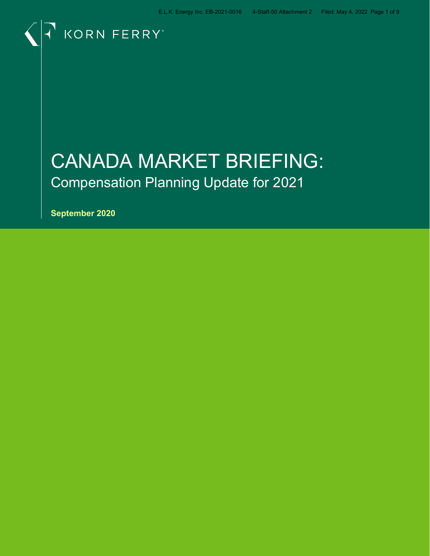

# CANADA MARKET BRIEFING: Compensation Planning Update for 2021

**September 2020**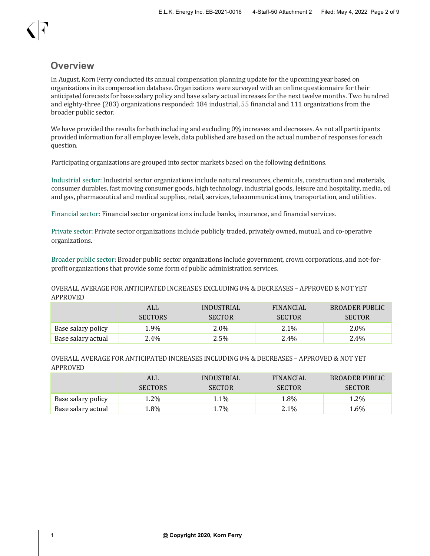### **Overview**

In August, Korn Ferry conducted its annual compensation planning update for the upcoming year based on organizations in its compensation database. Organizations were surveyed with an online questionnaire for their anticipated forecasts for base salary policy and base salary actual increases for the next twelve months. Two hundred and eighty-three (283) organizations responded: 184 industrial, 55 financial and 111 organizations from the broader public sector.

We have provided the results for both including and excluding 0% increases and decreases. As not all participants provided information for all employee levels, data published are based on the actual number of responses for each question.

Participating organizations are grouped into sector markets based on the following definitions.

Industrial sector: Industrial sector organizations include natural resources, chemicals, construction and materials, consumer durables, fast moving consumer goods, high technology, industrial goods, leisure and hospitality, media, oil and gas, pharmaceutical and medical supplies, retail, services, telecommunications, transportation, and utilities.

Financial sector: Financial sector organizations include banks, insurance, and financial services.

Private sector: Private sector organizations include publicly traded, privately owned, mutual, and co-operative organizations.

Broader public sector: Broader public sector organizations include government, crown corporations, and not-forprofit organizations that provide some form of public administration services.

OVERALL AVERAGE FOR ANTICIPATED INCREASES EXCLUDING 0% & DECREASES – APPROVED & NOT YET APPROVED

|                    | ALL            | INDUSTRIAL    | FINANCIAL     | BROADER PUBLIC |
|--------------------|----------------|---------------|---------------|----------------|
|                    | <b>SECTORS</b> | <b>SECTOR</b> | <b>SECTOR</b> | <b>SECTOR</b>  |
| Base salary policy | 1.9%           | 2.0%          | 2.1%          | 2.0%           |
| Base salary actual | 2.4%           | 2.5%          | 2.4%          | 2.4%           |

### OVERALL AVERAGE FOR ANTICIPATED INCREASES INCLUDING 0% & DECREASES – APPROVED & NOT YET APPROVED

|                    | ALL            | INDUSTRIAL    | <b>FINANCIAL</b> | <b>BROADER PUBLIC</b> |
|--------------------|----------------|---------------|------------------|-----------------------|
|                    | <b>SECTORS</b> | <b>SECTOR</b> | <b>SECTOR</b>    | <b>SECTOR</b>         |
| Base salary policy | $1.2\%$        | 1.1%          | 1.8%             | 1.2%                  |
| Base salary actual | 1.8%           | 1.7%          | 2.1%             | 1.6%                  |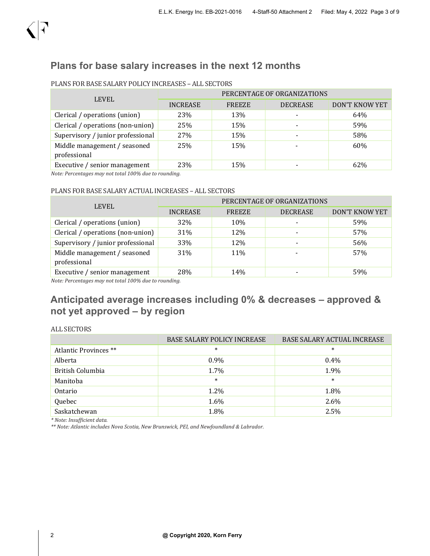

### **Plans for base salary increases in the next 12 months**

| <b>LEVEL</b>                                 | PERCENTAGE OF ORGANIZATIONS |        |                 |                       |  |  |  |
|----------------------------------------------|-----------------------------|--------|-----------------|-----------------------|--|--|--|
|                                              | <b>INCREASE</b>             | FREEZE | <b>DECREASE</b> | <b>DON'T KNOW YET</b> |  |  |  |
| Clerical / operations (union)                | 23%                         | 13%    |                 | 64%                   |  |  |  |
| Clerical / operations (non-union)            | 25%                         | 15%    |                 | 59%                   |  |  |  |
| Supervisory / junior professional            | 27%                         | 15%    |                 | 58%                   |  |  |  |
| Middle management / seasoned<br>professional | 25%                         | 15%    |                 | 60%                   |  |  |  |
| Executive / senior management                | 23%                         | 15%    |                 | 62%                   |  |  |  |

### PLANS FOR BASE SALARY POLICY INCREASES – ALL SECTORS

*Note: Percentages may not total 100% due to rounding.*

#### PLANS FOR BASE SALARY ACTUAL INCREASES – ALL SECTORS

| <b>LEVEL</b>                                 | PERCENTAGE OF ORGANIZATIONS |        |                 |                |  |  |  |  |
|----------------------------------------------|-----------------------------|--------|-----------------|----------------|--|--|--|--|
|                                              | <b>INCREASE</b>             | FREEZE | <b>DECREASE</b> | DON'T KNOW YET |  |  |  |  |
| Clerical / operations (union)                | <b>32%</b>                  | 10%    |                 | 59%            |  |  |  |  |
| Clerical / operations (non-union)            | 31%                         | 12%    |                 | 57%            |  |  |  |  |
| Supervisory / junior professional            | 33%                         | 12%    |                 | 56%            |  |  |  |  |
| Middle management / seasoned<br>professional | 31%                         | 11%    |                 | 57%            |  |  |  |  |
| Executive / senior management                | 28%                         | 14%    |                 | 59%            |  |  |  |  |

*Note: Percentages may not total 100% due to rounding.*

### **Anticipated average increases including 0% & decreases – approved & not yet approved – by region**

### ALL SECTORS

|                       | <b>BASE SALARY POLICY INCREASE</b> | <b>BASE SALARY ACTUAL INCREASE</b> |
|-----------------------|------------------------------------|------------------------------------|
| Atlantic Provinces ** | $\ast$                             | $\ast$                             |
| Alberta               | $0.9\%$                            | $0.4\%$                            |
| British Columbia      | 1.7%                               | 1.9%                               |
| Manitoba              | $\ast$                             | $\ast$                             |
| Ontario               | 1.2%                               | 1.8%                               |
| Quebec                | 1.6%                               | 2.6%                               |
| Saskatchewan          | 1.8%                               | 2.5%                               |

*\* Note: Insufficient data.*

*\*\* Note: Atlantic includes Nova Scotia, New Brunswick, PEI, and Newfoundland & Labrador.*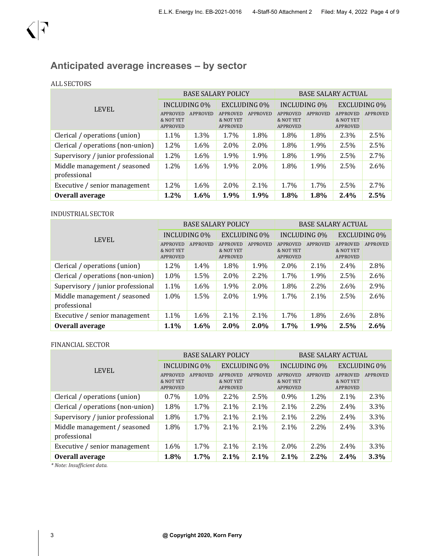## **Anticipated average increases – by sector**

### ALL SECTORS

|                                              | <b>BASE SALARY POLICY</b>                |                 |                                          |                 | <b>BASE SALARY ACTUAL</b>                |                 |                                          |          |
|----------------------------------------------|------------------------------------------|-----------------|------------------------------------------|-----------------|------------------------------------------|-----------------|------------------------------------------|----------|
| <b>LEVEL</b>                                 | INCLUDING 0%                             |                 | EXCLUDING 0%                             |                 | INCLUDING 0\%                            |                 | <b>EXCLUDING 0%</b>                      |          |
|                                              | <b>APPROVED</b><br>& NOT YET<br>APPROVED | <b>APPROVED</b> | <b>APPROVED</b><br>& NOT YET<br>APPROVED | <b>APPROVED</b> | <b>APPROVED</b><br>& NOT YET<br>APPROVED | <b>APPROVED</b> | <b>APPROVED</b><br>& NOT YET<br>APPROVED | APPROVED |
| Clerical / operations (union)                | 1.1%                                     | 1.3%            | 1.7%                                     | 1.8%            | 1.8%                                     | 1.8%            | 2.3%                                     | 2.5%     |
| Clerical / operations (non-union)            | 1.2%                                     | 1.6%            | 2.0%                                     | 2.0%            | 1.8%                                     | 1.9%            | 2.5%                                     | 2.5%     |
| Supervisory / junior professional            | 1.2%                                     | 1.6%            | 1.9%                                     | 1.9%            | 1.8%                                     | 1.9%            | 2.5%                                     | 2.7%     |
| Middle management / seasoned<br>professional | $1.2\%$                                  | 1.6%            | 1.9%                                     | 2.0%            | 1.8%                                     | 1.9%            | 2.5%                                     | 2.6%     |
| Executive / senior management                | 1.2%                                     | 1.6%            | 2.0%                                     | 2.1%            | 1.7%                                     | 1.7%            | 2.5%                                     | 2.7%     |
| Overall average                              | 1.2%                                     | 1.6%            | 1.9%                                     | 1.9%            | 1.8%                                     | 1.8%            | 2.4%                                     | 2.5%     |

### INDUSTRIAL SECTOR

|                                              | <b>BASE SALARY POLICY</b>         |                 |                                          |                 | <b>BASE SALARY ACTUAL</b>                |          |                                          |                 |
|----------------------------------------------|-----------------------------------|-----------------|------------------------------------------|-----------------|------------------------------------------|----------|------------------------------------------|-----------------|
| <b>LEVEL</b>                                 | INCLUDING 0\%                     |                 | <b>EXCLUDING 0%</b>                      |                 | <b>INCLUDING 0%</b>                      |          | <b>EXCLUDING 0%</b>                      |                 |
|                                              | APPROVED<br>& NOT YET<br>APPROVED | <b>APPROVED</b> | <b>APPROVED</b><br>& NOT YET<br>APPROVED | <b>APPROVED</b> | APPROVED<br>& NOT YET<br><b>APPROVED</b> | APPROVED | <b>APPROVED</b><br>& NOT YET<br>APPROVED | <b>APPROVED</b> |
| Clerical / operations (union)                | 1.2%                              | 1.4%            | 1.8%                                     | 1.9%            | 2.0%                                     | $2.1\%$  | 2.4%                                     | 2.8%            |
| Clerical / operations (non-union)            | 1.0%                              | 1.5%            | $2.0\%$                                  | 2.2%            | 1.7%                                     | 1.9%     | 2.5%                                     | 2.6%            |
| Supervisory / junior professional            | 1.1%                              | 1.6%            | 1.9%                                     | 2.0%            | 1.8%                                     | $2.2\%$  | 2.6%                                     | 2.9%            |
| Middle management / seasoned<br>professional | $1.0\%$                           | 1.5%            | $2.0\%$                                  | 1.9%            | 1.7%                                     | $2.1\%$  | 2.5%                                     | 2.6%            |
| Executive / senior management                | 1.1%                              | 1.6%            | 2.1%                                     | 2.1%            | 1.7%                                     | 1.8%     | 2.6%                                     | 2.8%            |
| Overall average                              | 1.1%                              | 1.6%            | $2.0\%$                                  | 2.0%            | 1.7%                                     | 1.9%     | 2.5%                                     | 2.6%            |

### FINANCIAL SECTOR

|                                              | <b>BASE SALARY POLICY</b>                       |                 |                                          |                 | <b>BASE SALARY ACTUAL</b>                |          |                                   |                 |
|----------------------------------------------|-------------------------------------------------|-----------------|------------------------------------------|-----------------|------------------------------------------|----------|-----------------------------------|-----------------|
| <b>LEVEL</b>                                 | INCLUDING 0%                                    |                 | EXCLUDING 0\%                            |                 | INCLUDING 0%                             |          | <b>EXCLUDING 0%</b>               |                 |
|                                              | <b>APPROVED</b><br>& NOT YET<br><b>APPROVED</b> | <b>APPROVED</b> | APPROVED<br>& NOT YET<br><b>APPROVED</b> | <b>APPROVED</b> | <b>APPROVED</b><br>& NOT YET<br>APPROVED | APPROVED | APPROVED<br>& NOT YET<br>APPROVED | <b>APPROVED</b> |
| Clerical / operations (union)                | $0.7\%$                                         | 1.0%            | $2.2\%$                                  | 2.5%            | 0.9%                                     | 1.2%     | 2.1%                              | 2.3%            |
| Clerical / operations (non-union)            | 1.8%                                            | 1.7%            | $2.1\%$                                  | 2.1%            | 2.1%                                     | 2.2%     | 2.4%                              | 3.3%            |
| Supervisory / junior professional            | 1.8%                                            | 1.7%            | 2.1%                                     | 2.1%            | 2.1%                                     | 2.2%     | 2.4%                              | 3.3%            |
| Middle management / seasoned<br>professional | 1.8%                                            | 1.7%            | $2.1\%$                                  | 2.1%            | 2.1%                                     | 2.2%     | 2.4%                              | 3.3%            |
| Executive / senior management                | $1.6\%$                                         | 1.7%            | $2.1\%$                                  | $2.1\%$         | 2.0%                                     | $2.2\%$  | 2.4%                              | 3.3%            |
| Overall average                              | 1.8%                                            | 1.7%            | 2.1%                                     | 2.1%            | 2.1%                                     | 2.2%     | 2.4%                              | 3.3%            |

*\* Note: Insufficient data.*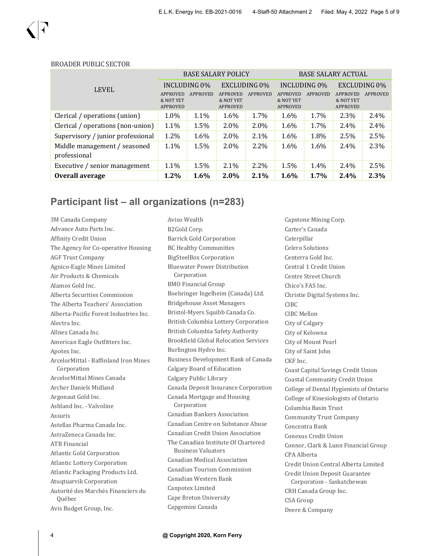|                                              | <b>BASE SALARY POLICY</b>                |                 |                                          |                 | <b>BASE SALARY ACTUAL</b>                |                 |                                                 |                 |
|----------------------------------------------|------------------------------------------|-----------------|------------------------------------------|-----------------|------------------------------------------|-----------------|-------------------------------------------------|-----------------|
| <b>LEVEL</b>                                 | <b>INCLUDING 0%</b>                      |                 | <b>EXCLUDING 0%</b>                      |                 | <b>INCLUDING 0%</b>                      |                 | <b>EXCLUDING 0%</b>                             |                 |
|                                              | <b>APPROVED</b><br>& NOT YET<br>APPROVED | <b>APPROVED</b> | <b>APPROVED</b><br>& NOT YET<br>APPROVED | <b>APPROVED</b> | <b>APPROVED</b><br>& NOT YET<br>APPROVED | <b>APPROVED</b> | <b>APPROVED</b><br>& NOT YET<br><b>APPROVED</b> | <b>APPROVED</b> |
| Clerical / operations (union)                | 1.0%                                     | 1.1%            | 1.6%                                     | 1.7%            | 1.6%                                     | 1.7%            | 2.3%                                            | 2.4%            |
| Clerical / operations (non-union)            | 1.1%                                     | 1.5%            | $2.0\%$                                  | 2.0%            | 1.6%                                     | 1.7%            | 2.4%                                            | 2.4%            |
| Supervisory / junior professional            | 1.2%                                     | 1.6%            | 2.0%                                     | 2.1%            | 1.6%                                     | 1.8%            | 2.5%                                            | 2.5%            |
| Middle management / seasoned<br>professional | 1.1%                                     | 1.5%            | $2.0\%$                                  | $2.2\%$         | $1.6\%$                                  | 1.6%            | 2.4%                                            | 2.3%            |
| Executive / senior management                | 1.1%                                     | 1.5%            | 2.1%                                     | 2.2%            | 1.5%                                     | 1.4%            | 2.4%                                            | 2.5%            |
| Overall average                              | $1.2\%$                                  | 1.6%            | $2.0\%$                                  | 2.1%            | 1.6%                                     | 1.7%            | 2.4%                                            | 2.3%            |

#### BROADER PUBLIC SECTOR

### **Participant list – all organizations (n=283)**

Aviso Wealth

3M Canada Company Advance Auto Parts Inc. Affinity Credit Union The Agency for Co-operative Housing AGF Trust Company Agnico-Eagle Mines Limited Air Products & Chemicals Alamos Gold Inc. Alberta Securities Commission The Alberta Teachers' Association Alberta-Pacific Forest Industries Inc. Alectra Inc. Allnex Canada Inc. American Eagle Outfitters Inc. Apotex Inc. ArcelorMittal - Baffinland Iron Mines Corporation ArcelorMittal Mines Canada Archer Daniels Midland Argonaut Gold Inc. Ashland Inc. - Valvoline Assuris Astellas Pharma Canada Inc. AstraZeneca Canada Inc. ATB Financial Atlantic Gold Corporation Atlantic Lottery Corporation Atlantic Packaging Products Ltd. Atuqtuarvik Corporation Autorité des Marchés Financiers du Québec Avis Budget Group, Inc.

B2Gold Corp. Barrick Gold Corporation BC Healthy Communities BigSteelBox Corporation Bluewater Power Distribution Corporation BMO Financial Group Boehringer Ingelheim (Canada) Ltd. Bridgehouse Asset Managers Bristol-Myers Squibb Canada Co. British Columbia Lottery Corporation British Columbia Safety Authority Brookfield Global Relocation Services Burlington Hydro Inc. Business Development Bank of Canada Calgary Board of Education Calgary Public Library Canada Deposit Insurance Corporation Canada Mortgage and Housing Corporation Canadian Bankers Association Canadian Centre on Substance Abuse Canadian Credit Union Association The Canadian Institute Of Chartered Business Valuators Canadian Medical Association Canadian Tourism Commission Canadian Western Bank Canpotex Limited Cape Breton University Capgemini Canada

Capstone Mining Corp. Carter's Canada Caterpillar Celero Solutions Centerra Gold Inc. Central 1 Credit Union Centre Street Church Chico's FAS Inc. Christie Digital Systems Inc. CIBC CIBC Mellon City of Calgary City of Kelowna City of Mount Pearl City of Saint John CKF Inc. Coast Capital Savings Credit Union Coastal Community Credit Union College of Dental Hygienists of Ontario College of Kinesiologists of Ontario Columbia Basin Trust Community Trust Company Concentra Bank Conexus Credit Union Connor, Clark & Lunn Financial Group CPA Alberta Credit Union Central Alberta Limited Credit Union Deposit Guarantee Corporation - Saskatchewan CRH Canada Group Inc. CSA Group Deere & Company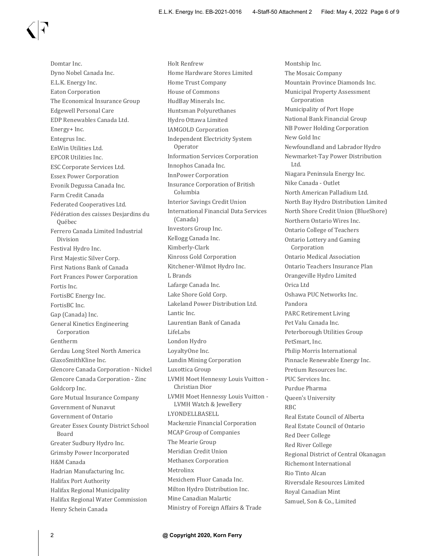Domtar Inc. Dyno Nobel Canada Inc. E.L.K. Energy Inc. Eaton Corporation The Economical Insurance Group Edgewell Personal Care EDP Renewables Canada Ltd. Energy+ Inc. Entegrus Inc. EnWin Utilities Ltd. EPCOR Utilities Inc. ESC Corporate Services Ltd. Essex Power Corporation Evonik Degussa Canada Inc. Farm Credit Canada Federated Cooperatives Ltd. Fédération des caisses Desjardins du Québec Ferrero Canada Limited Industrial Division Festival Hydro Inc. First Majestic Silver Corp. First Nations Bank of Canada Fort Frances Power Corporation Fortis Inc. FortisBC Energy Inc. FortisBC Inc. Gap (Canada) Inc. General Kinetics Engineering Corporation Gentherm Gerdau Long Steel North America GlaxoSmithKline Inc. Glencore Canada Corporation - Nickel Glencore Canada Corporation - Zinc Goldcorp Inc. Gore Mutual Insurance Company Government of Nunavut Government of Ontario Greater Essex County District School Board Greater Sudbury Hydro Inc. Grimsby Power Incorporated H&M Canada Hadrian Manufacturing Inc. Halifax Port Authority Halifax Regional Municipality Halifax Regional Water Commission Henry Schein Canada

Holt Renfrew Home Hardware Stores Limited Home Trust Company House of Commons HudBay Minerals Inc. Huntsman Polyurethanes Hydro Ottawa Limited IAMGOLD Corporation Independent Electricity System Operator Information Services Corporation Innophos Canada Inc. InnPower Corporation Insurance Corporation of British Columbia Interior Savings Credit Union International Financial Data Services (Canada) Investors Group Inc. Kellogg Canada Inc. Kimberly-Clark Kinross Gold Corporation Kitchener-Wilmot Hydro Inc. L Brands Lafarge Canada Inc. Lake Shore Gold Corp. Lakeland Power Distribution Ltd. Lantic Inc. Laurentian Bank of Canada LifeLabs London Hydro LoyaltyOne Inc. Lundin Mining Corporation Luxottica Group LVMH Moet Hennessy Louis Vuitton - Christian Dior LVMH Moet Hennessy Louis Vuitton - LVMH Watch & Jewellery LYONDELLBASELL Mackenzie Financial Corporation MCAP Group of Companies The Mearie Group Meridian Credit Union Methanex Corporation Metrolinx Mexichem Fluor Canada Inc. Milton Hydro Distribution Inc. Mine Canadian Malartic Ministry of Foreign Affairs & Trade

Montship Inc. The Mosaic Company Mountain Province Diamonds Inc. Municipal Property Assessment Corporation Municipality of Port Hope National Bank Financial Group NB Power Holding Corporation New Gold Inc Newfoundland and Labrador Hydro Newmarket-Tay Power Distribution Ltd. Niagara Peninsula Energy Inc. Nike Canada - Outlet North American Palladium Ltd. North Bay Hydro Distribution Limited North Shore Credit Union (BlueShore) Northern Ontario Wires Inc. Ontario College of Teachers Ontario Lottery and Gaming Corporation Ontario Medical Association Ontario Teachers Insurance Plan Orangeville Hydro Limited Orica Ltd Oshawa PUC Networks Inc. Pandora PARC Retirement Living Pet Valu Canada Inc. Peterborough Utilities Group PetSmart, Inc. Philip Morris International Pinnacle Renewable Energy Inc. Pretium Resources Inc. PUC Services Inc. Purdue Pharma Queen's University RBC Real Estate Council of Alberta Real Estate Council of Ontario Red Deer College Red River College Regional District of Central Okanagan Richemont International Rio Tinto Alcan Riversdale Resources Limited Royal Canadian Mint Samuel, Son & Co., Limited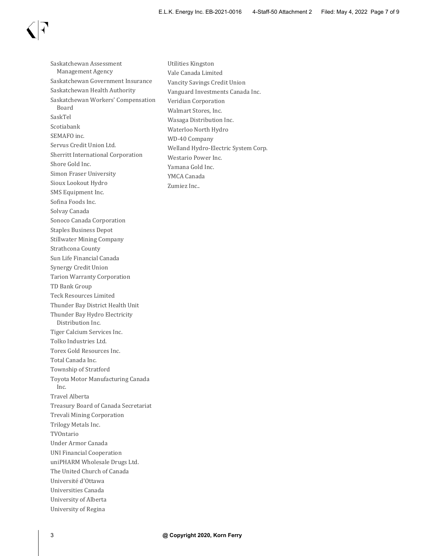Saskatchewan Assessment Management Agency Saskatchewan Government Insurance Saskatchewan Health Authority Saskatchewan Workers' Compensation Board SaskTel Scotiabank SEMAFO inc. Servus Credit Union Ltd. Sherritt International Corporation Shore Gold Inc. Simon Fraser University Sioux Lookout Hydro SMS Equipment Inc. Sofina Foods Inc. Solvay Canada Sonoco Canada Corporation Staples Business Depot Stillwater Mining Company Strathcona County Sun Life Financial Canada Synergy Credit Union Tarion Warranty Corporation TD Bank Group Teck Resources Limited Thunder Bay District Health Unit Thunder Bay Hydro Electricity Distribution Inc. Tiger Calcium Services Inc. Tolko Industries Ltd. Torex Gold Resources Inc. Total Canada Inc. Township of Stratford Toyota Motor Manufacturing Canada Inc. Travel Alberta Treasury Board of Canada Secretariat Trevali Mining Corporation Trilogy Metals Inc. TVOntario Under Armor Canada UNI Financial Cooperation uniPHARM Wholesale Drugs Ltd. The United Church of Canada Université d'Ottawa Universities Canada University of Alberta University of Regina

Utilities Kingston Vale Canada Limited Vancity Savings Credit Union Vanguard Investments Canada Inc. Veridian Corporation Walmart Stores, Inc. Wasaga Distribution Inc. Waterloo North Hydro WD-40 Company Welland Hydro-Electric System Corp. Westario Power Inc. Yamana Gold Inc. YMCA Canada Zumiez Inc..